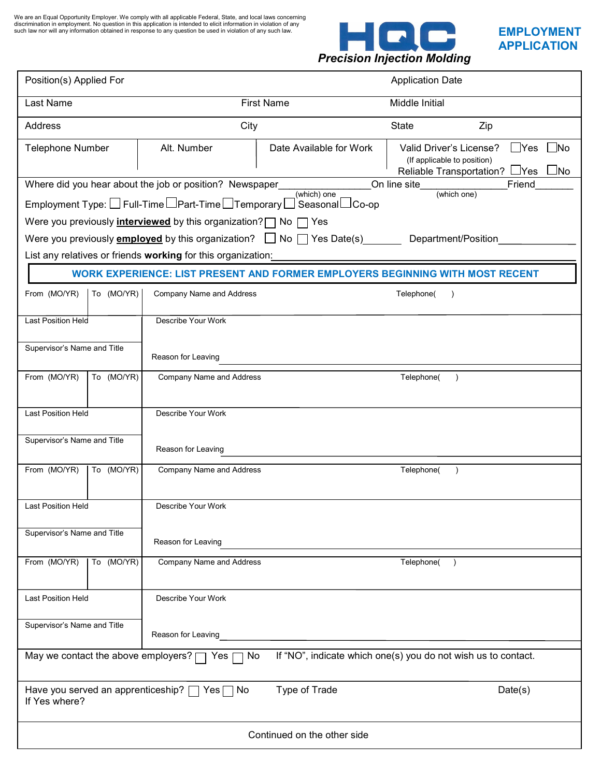We are an Equal Opportunity Employer. We comply with all applicable Federal, State, and local laws concerning<br>discrimination in employment. No question in this application is intended to elicit information in violation of



| Position(s) Applied For                                                                                               |            |                                                                                   | <b>Application Date</b>                                                                                    |                                                                                                                                         |  |  |
|-----------------------------------------------------------------------------------------------------------------------|------------|-----------------------------------------------------------------------------------|------------------------------------------------------------------------------------------------------------|-----------------------------------------------------------------------------------------------------------------------------------------|--|--|
| Last Name                                                                                                             |            |                                                                                   | <b>First Name</b>                                                                                          | Middle Initial                                                                                                                          |  |  |
| <b>Address</b>                                                                                                        |            | City                                                                              |                                                                                                            | <b>State</b><br>Zip                                                                                                                     |  |  |
| <b>Telephone Number</b>                                                                                               |            | Alt. Number                                                                       | Date Available for Work                                                                                    | Valid Driver's License?<br>$\Box$ Yes<br>$\blacksquare$ No<br>(If applicable to position)<br>Reliable Transportation? LYes<br>$\Box$ No |  |  |
|                                                                                                                       |            | Where did you hear about the job or position? Newspaper                           | (which) one                                                                                                | On line site<br>Friend<br>(which one)                                                                                                   |  |  |
|                                                                                                                       |            |                                                                                   |                                                                                                            |                                                                                                                                         |  |  |
|                                                                                                                       |            | Were you previously <i>interviewed</i> by this organization? $\Box$ No $\Box$ Yes |                                                                                                            |                                                                                                                                         |  |  |
|                                                                                                                       |            |                                                                                   | Were you previously <b>employed</b> by this organization? $\Box$ No $\Box$ Yes Date(s) Department/Position |                                                                                                                                         |  |  |
|                                                                                                                       |            | List any relatives or friends working for this organization:                      |                                                                                                            |                                                                                                                                         |  |  |
|                                                                                                                       |            |                                                                                   |                                                                                                            | <b>WORK EXPERIENCE: LIST PRESENT AND FORMER EMPLOYERS BEGINNING WITH MOST RECENT</b>                                                    |  |  |
| From (MO/YR)                                                                                                          | To (MO/YR) | <b>Company Name and Address</b>                                                   |                                                                                                            | Telephone(<br>$\lambda$                                                                                                                 |  |  |
| Last Position Held                                                                                                    |            | Describe Your Work                                                                |                                                                                                            |                                                                                                                                         |  |  |
| Supervisor's Name and Title                                                                                           |            | Reason for Leaving                                                                |                                                                                                            |                                                                                                                                         |  |  |
| From (MO/YR)                                                                                                          | To (MO/YR) | <b>Company Name and Address</b>                                                   |                                                                                                            | Telephone(                                                                                                                              |  |  |
|                                                                                                                       |            |                                                                                   |                                                                                                            |                                                                                                                                         |  |  |
| Last Position Held                                                                                                    |            | Describe Your Work                                                                |                                                                                                            |                                                                                                                                         |  |  |
| Supervisor's Name and Title                                                                                           |            | Reason for Leaving                                                                |                                                                                                            |                                                                                                                                         |  |  |
| From (MO/YR)                                                                                                          | To (MO/YR) | <b>Company Name and Address</b>                                                   |                                                                                                            | Telephone(                                                                                                                              |  |  |
| Last Position Held<br>Describe Your Work                                                                              |            |                                                                                   |                                                                                                            |                                                                                                                                         |  |  |
| Supervisor's Name and Title                                                                                           |            | Reason for Leaving                                                                |                                                                                                            |                                                                                                                                         |  |  |
| From (MO/YR)                                                                                                          | To (MO/YR) | <b>Company Name and Address</b>                                                   |                                                                                                            | Telephone()                                                                                                                             |  |  |
| <b>Last Position Held</b>                                                                                             |            | Describe Your Work                                                                |                                                                                                            |                                                                                                                                         |  |  |
| Supervisor's Name and Title                                                                                           |            | Reason for Leaving                                                                |                                                                                                            |                                                                                                                                         |  |  |
| May we contact the above employers? [<br>If "NO", indicate which one(s) you do not wish us to contact.<br>Yes [<br>No |            |                                                                                   |                                                                                                            |                                                                                                                                         |  |  |
| Have you served an apprenticeship?   Yes   No<br>Type of Trade<br>Date(s)<br>If Yes where?                            |            |                                                                                   |                                                                                                            |                                                                                                                                         |  |  |
| Continued on the other side                                                                                           |            |                                                                                   |                                                                                                            |                                                                                                                                         |  |  |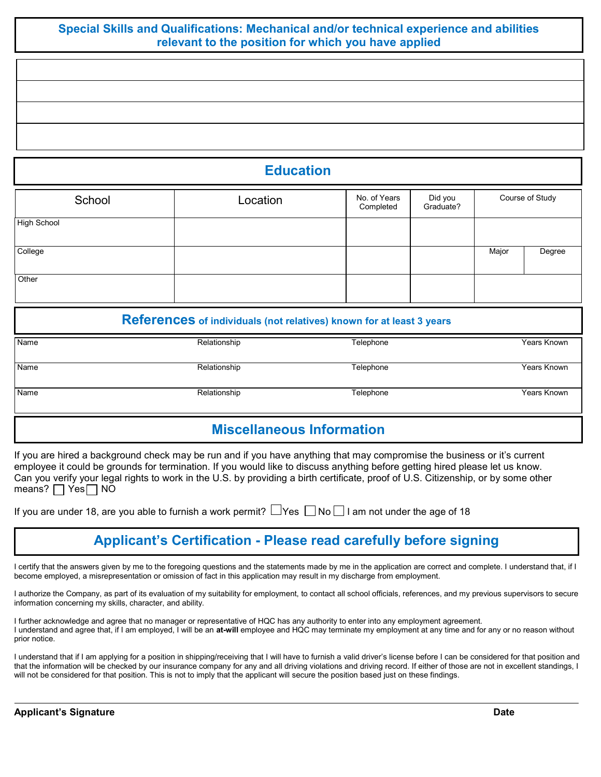### Special Skills and Qualifications: Mechanical and/or technical experience and abilities relevant to the position for which you have applied

**Education** 

| Location | No. of Years<br>Completed | Did you<br>Graduate? | Course of Study |        |
|----------|---------------------------|----------------------|-----------------|--------|
|          |                           |                      |                 |        |
|          |                           |                      | Major           | Degree |
|          |                           |                      |                 |        |
|          |                           |                      |                 |        |

#### References of individuals (not relatives) known for at least 3 years

| Name | Relationship | Telephone | Years Known |
|------|--------------|-----------|-------------|
|      |              |           |             |
| Name | Relationship | Telephone | Years Known |
|      |              |           |             |
| Name | Relationship | Telephone | Years Known |
|      |              |           |             |

## Miscellaneous Information

If you are hired a background check may be run and if you have anything that may compromise the business or it's current employee it could be grounds for termination. If you would like to discuss anything before getting hired please let us know. Can you verify your legal rights to work in the U.S. by providing a birth certificate, proof of U.S. Citizenship, or by some other means?  $\Box$  Yes  $\Box$  NO

|  |  |  | If you are under 18, are you able to furnish a work permit? $\Box$ Yes $\Box$ No $\Box$ I am not under the age of 18 |
|--|--|--|----------------------------------------------------------------------------------------------------------------------|
|--|--|--|----------------------------------------------------------------------------------------------------------------------|

# Applicant's Certification - Please read carefully before signing

I certify that the answers given by me to the foregoing questions and the statements made by me in the application are correct and complete. I understand that, if I become employed, a misrepresentation or omission of fact in this application may result in my discharge from employment.

I authorize the Company, as part of its evaluation of my suitability for employment, to contact all school officials, references, and my previous supervisors to secure information concerning my skills, character, and ability.

I further acknowledge and agree that no manager or representative of HQC has any authority to enter into any employment agreement. I understand and agree that, if I am employed, I will be an at-will employee and HQC may terminate my employment at any time and for any or no reason without prior notice.

I understand that if I am applying for a position in shipping/receiving that I will have to furnish a valid driver's license before I can be considered for that position and that the information will be checked by our insurance company for any and all driving violations and driving record. If either of those are not in excellent standings, I will not be considered for that position. This is not to imply that the applicant will secure the position based just on these findings.

 $\lfloor$